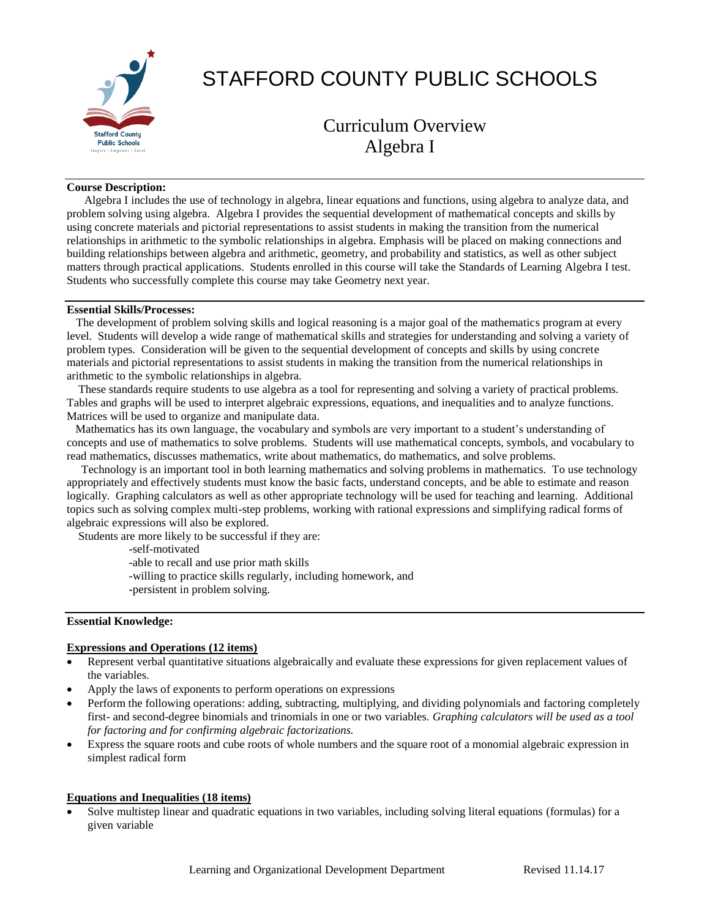

# STAFFORD COUNTY PUBLIC SCHOOLS

# Curriculum Overview Algebra I

#### **Course Description:**

 Algebra I includes the use of technology in algebra, linear equations and functions, using algebra to analyze data, and problem solving using algebra. Algebra I provides the sequential development of mathematical concepts and skills by using concrete materials and pictorial representations to assist students in making the transition from the numerical relationships in arithmetic to the symbolic relationships in algebra. Emphasis will be placed on making connections and building relationships between algebra and arithmetic, geometry, and probability and statistics, as well as other subject matters through practical applications. Students enrolled in this course will take the Standards of Learning Algebra I test. Students who successfully complete this course may take Geometry next year.

#### **Essential Skills/Processes:**

 The development of problem solving skills and logical reasoning is a major goal of the mathematics program at every level. Students will develop a wide range of mathematical skills and strategies for understanding and solving a variety of problem types. Consideration will be given to the sequential development of concepts and skills by using concrete materials and pictorial representations to assist students in making the transition from the numerical relationships in arithmetic to the symbolic relationships in algebra.

 These standards require students to use algebra as a tool for representing and solving a variety of practical problems. Tables and graphs will be used to interpret algebraic expressions, equations, and inequalities and to analyze functions. Matrices will be used to organize and manipulate data.

 Mathematics has its own language, the vocabulary and symbols are very important to a student's understanding of concepts and use of mathematics to solve problems. Students will use mathematical concepts, symbols, and vocabulary to read mathematics, discusses mathematics, write about mathematics, do mathematics, and solve problems.

 Technology is an important tool in both learning mathematics and solving problems in mathematics. To use technology appropriately and effectively students must know the basic facts, understand concepts, and be able to estimate and reason logically. Graphing calculators as well as other appropriate technology will be used for teaching and learning. Additional topics such as solving complex multi-step problems, working with rational expressions and simplifying radical forms of algebraic expressions will also be explored.

Students are more likely to be successful if they are:

-self-motivated

-able to recall and use prior math skills

- -willing to practice skills regularly, including homework, and
- -persistent in problem solving.

#### **Essential Knowledge:**

#### **Expressions and Operations (12 items)**

- Represent verbal quantitative situations algebraically and evaluate these expressions for given replacement values of the variables.
- Apply the laws of exponents to perform operations on expressions
- Perform the following operations: adding, subtracting, multiplying, and dividing polynomials and factoring completely first- and second-degree binomials and trinomials in one or two variables. *Graphing calculators will be used as a tool for factoring and for confirming algebraic factorizations.*
- Express the square roots and cube roots of whole numbers and the square root of a monomial algebraic expression in simplest radical form

# **Equations and Inequalities (18 items)**

 Solve multistep linear and quadratic equations in two variables, including solving literal equations (formulas) for a given variable